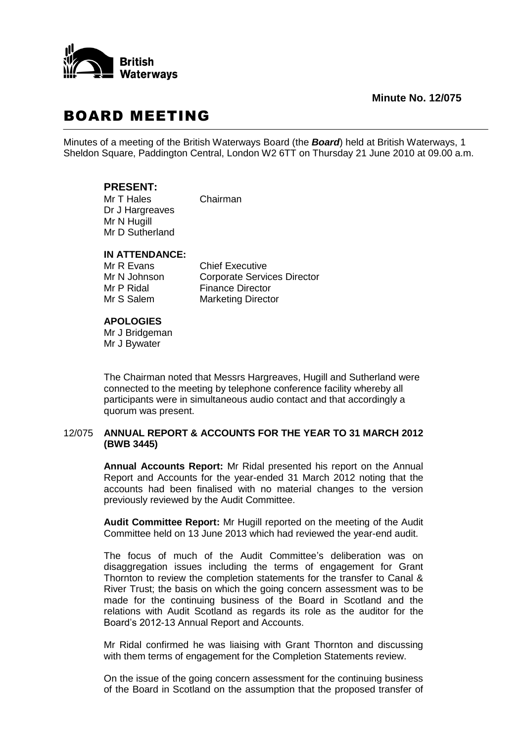

**Minute No. 12/075**

# BOARD MEETING

Minutes of a meeting of the British Waterways Board (the *Board*) held at British Waterways, 1 Sheldon Square, Paddington Central, London W2 6TT on Thursday 21 June 2010 at 09.00 a.m.

# **PRESENT:**

Mr T Hales Chairman Dr J Hargreaves Mr N Hugill Mr D Sutherland

### **IN ATTENDANCE:**

Mr R Evans Chief Executive Mr N Johnson Corporate Services Director Mr P Ridal Finance Director Mr S Salem Marketing Director

# **APOLOGIES**

Mr J Bridgeman Mr J Bywater

The Chairman noted that Messrs Hargreaves, Hugill and Sutherland were connected to the meeting by telephone conference facility whereby all participants were in simultaneous audio contact and that accordingly a quorum was present.

# 12/075 **ANNUAL REPORT & ACCOUNTS FOR THE YEAR TO 31 MARCH 2012 (BWB 3445)**

**Annual Accounts Report:** Mr Ridal presented his report on the Annual Report and Accounts for the year-ended 31 March 2012 noting that the accounts had been finalised with no material changes to the version previously reviewed by the Audit Committee.

**Audit Committee Report:** Mr Hugill reported on the meeting of the Audit Committee held on 13 June 2013 which had reviewed the year-end audit.

The focus of much of the Audit Committee's deliberation was on disaggregation issues including the terms of engagement for Grant Thornton to review the completion statements for the transfer to Canal & River Trust; the basis on which the going concern assessment was to be made for the continuing business of the Board in Scotland and the relations with Audit Scotland as regards its role as the auditor for the Board's 2012-13 Annual Report and Accounts.

Mr Ridal confirmed he was liaising with Grant Thornton and discussing with them terms of engagement for the Completion Statements review.

On the issue of the going concern assessment for the continuing business of the Board in Scotland on the assumption that the proposed transfer of